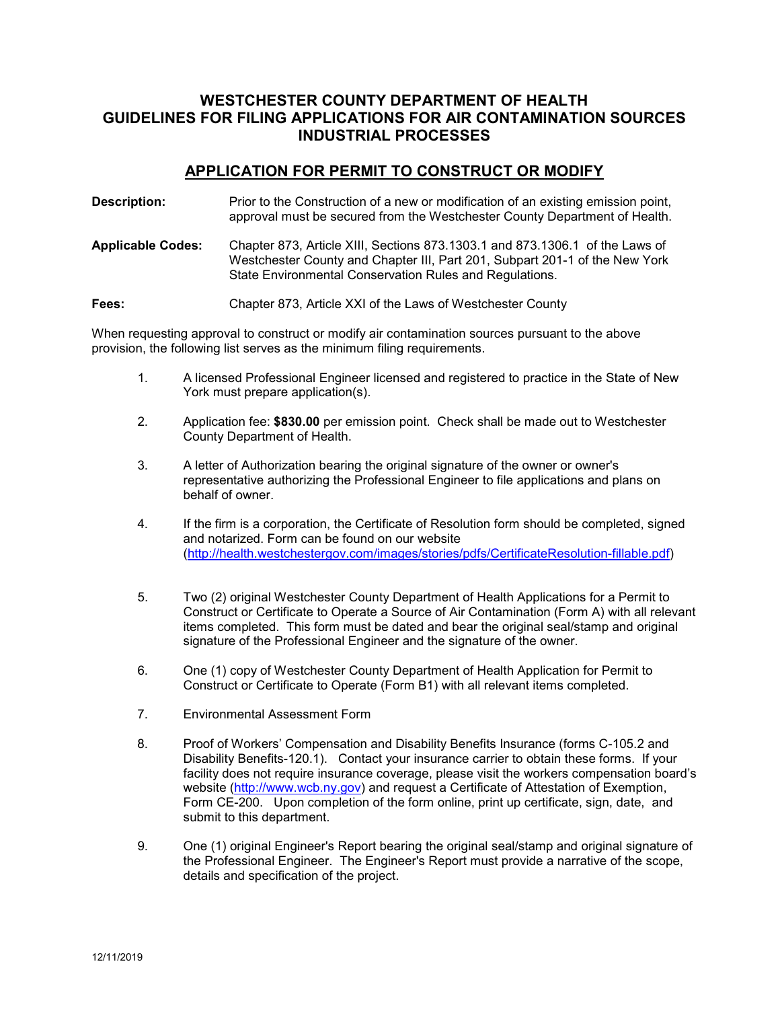# **WESTCHESTER COUNTY DEPARTMENT OF HEALTH GUIDELINES FOR FILING APPLICATIONS FOR AIR CONTAMINATION SOURCES INDUSTRIAL PROCESSES**

#### **APPLICATION FOR PERMIT TO CONSTRUCT OR MODIFY**

**Description:** Prior to the Construction of a new or modification of an existing emission point, approval must be secured from the Westchester County Department of Health. **Applicable Codes:** Chapter 873, Article XIII, Sections 873.1303.1 and 873.1306.1 of the Laws of Westchester County and Chapter III, Part 201, Subpart 201-1 of the New York State Environmental Conservation Rules and Regulations.

**Fees:** Chapter 873, Article XXI of the Laws of Westchester County

When requesting approval to construct or modify air contamination sources pursuant to the above provision, the following list serves as the minimum filing requirements.

- 1. A licensed Professional Engineer licensed and registered to practice in the State of New York must prepare application(s).
- 2. Application fee: **\$830.00** per emission point. Check shall be made out to Westchester County Department of Health.
- 3. A letter of Authorization bearing the original signature of the owner or owner's representative authorizing the Professional Engineer to file applications and plans on behalf of owner.
- 4. If the firm is a corporation, the Certificate of Resolution form should be completed, signed and notarized. Form can be found on our website [\(http://health.westchestergov.com/images/stories/pdfs/CertificateResolution-fillable.pdf\)](http://health.westchestergov.com/images/stories/pdfs/CertificateResolution-fillable.pdf)
- 5. Two (2) original Westchester County Department of Health Applications for a Permit to Construct or Certificate to Operate a Source of Air Contamination (Form A) with all relevant items completed. This form must be dated and bear the original seal/stamp and original signature of the Professional Engineer and the signature of the owner.
- 6. One (1) copy of Westchester County Department of Health Application for Permit to Construct or Certificate to Operate (Form B1) with all relevant items completed.
- 7. Environmental Assessment Form
- 8. Proof of Workers' Compensation and Disability Benefits Insurance (forms C-105.2 and Disability Benefits-120.1). Contact your insurance carrier to obtain these forms. If your facility does not require insurance coverage, please visit the workers compensation board's website [\(http://www.wcb.ny.gov\)](http://www.wcb.ny.gov/) and request a Certificate of Attestation of Exemption, Form CE-200. Upon completion of the form online, print up certificate, sign, date, and submit to this department.
- 9. One (1) original Engineer's Report bearing the original seal/stamp and original signature of the Professional Engineer. The Engineer's Report must provide a narrative of the scope, details and specification of the project.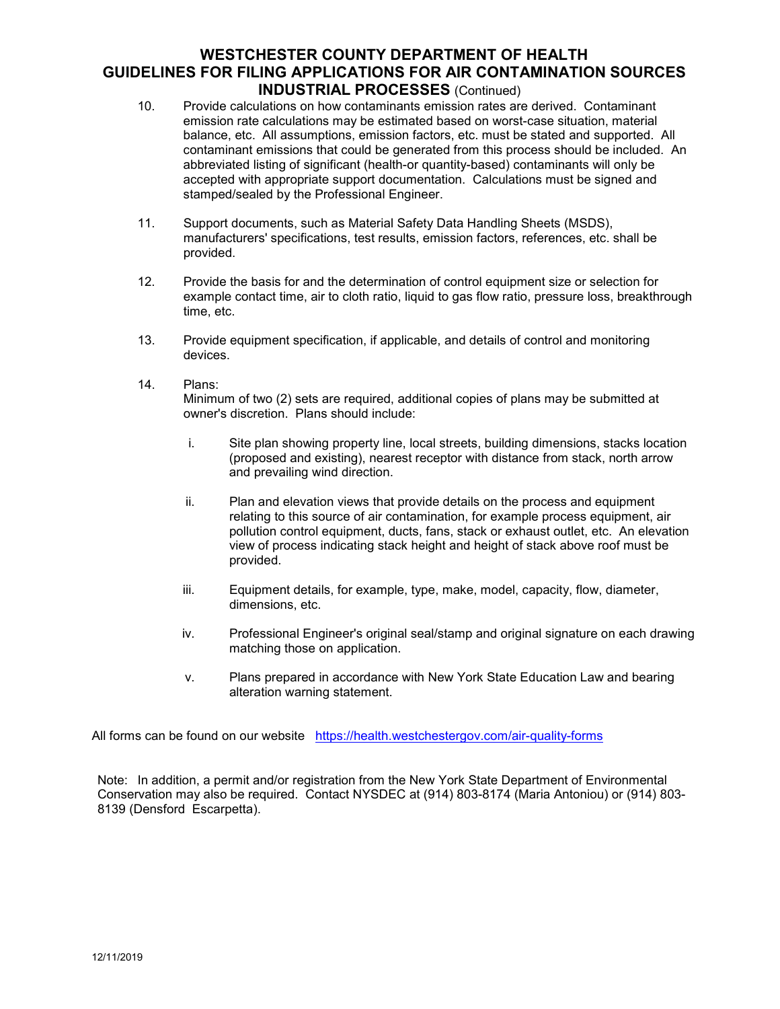## **WESTCHESTER COUNTY DEPARTMENT OF HEALTH GUIDELINES FOR FILING APPLICATIONS FOR AIR CONTAMINATION SOURCES INDUSTRIAL PROCESSES** (Continued)

- 10. Provide calculations on how contaminants emission rates are derived. Contaminant emission rate calculations may be estimated based on worst-case situation, material balance, etc. All assumptions, emission factors, etc. must be stated and supported. All contaminant emissions that could be generated from this process should be included. An abbreviated listing of significant (health-or quantity-based) contaminants will only be accepted with appropriate support documentation. Calculations must be signed and stamped/sealed by the Professional Engineer.
- 11. Support documents, such as Material Safety Data Handling Sheets (MSDS), manufacturers' specifications, test results, emission factors, references, etc. shall be provided.
- 12. Provide the basis for and the determination of control equipment size or selection for example contact time, air to cloth ratio, liquid to gas flow ratio, pressure loss, breakthrough time, etc.
- 13. Provide equipment specification, if applicable, and details of control and monitoring devices.
- 14. Plans: Minimum of two (2) sets are required, additional copies of plans may be submitted at owner's discretion. Plans should include:
	- i. Site plan showing property line, local streets, building dimensions, stacks location (proposed and existing), nearest receptor with distance from stack, north arrow and prevailing wind direction.
	- ii. Plan and elevation views that provide details on the process and equipment relating to this source of air contamination, for example process equipment, air pollution control equipment, ducts, fans, stack or exhaust outlet, etc. An elevation view of process indicating stack height and height of stack above roof must be provided.
	- iii. Equipment details, for example, type, make, model, capacity, flow, diameter, dimensions, etc.
	- iv. Professional Engineer's original seal/stamp and original signature on each drawing matching those on application.
	- v. Plans prepared in accordance with New York State Education Law and bearing alteration warning statement.

All forms can be found on our website <https://health.westchestergov.com/air-quality-forms>

Note: In addition, a permit and/or registration from the New York State Department of Environmental Conservation may also be required. Contact NYSDEC at (914) 803-8174 (Maria Antoniou) or (914) 803- 8139 (Densford Escarpetta).